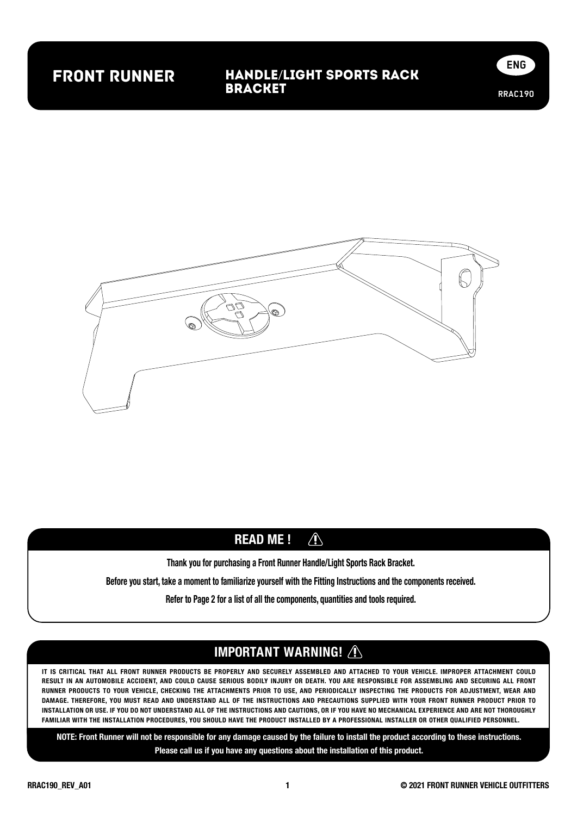## front runner

#### Handle/Light Sports Rack Bracket





#### $\bigwedge$ READ ME !

Thank you for purchasing a Front Runner Handle/Light Sports Rack Bracket.

Before you start, take a moment to familiarize yourself with the Fitting Instructions and the components received.

Refer to Page 2 for a list of all the components, quantities and tools required.

### IMPORTANT WARNING! /

IT IS CRITICAL THAT ALL FRONT RUNNER PRODUCTS BE PROPERLY AND SECURELY ASSEMBLED AND ATTACHED TO YOUR VEHICLE. IMPROPER ATTACHMENT COULD RESULT IN AN AUTOMOBILE ACCIDENT, AND COULD CAUSE SERIOUS BODILY INJURY OR DEATH. YOU ARE RESPONSIBLE FOR ASSEMBLING AND SECURING ALL FRONT RUNNER PRODUCTS TO YOUR VEHICLE, CHECKING THE ATTACHMENTS PRIOR TO USE, AND PERIODICALLY INSPECTING THE PRODUCTS FOR ADJUSTMENT, WEAR AND DAMAGE. THEREFORE, YOU MUST READ AND UNDERSTAND ALL OF THE INSTRUCTIONS AND PRECAUTIONS SUPPLIED WITH YOUR FRONT RUNNER PRODUCT PRIOR TO INSTALLATION OR USE. IF YOU DO NOT UNDERSTAND ALL OF THE INSTRUCTIONS AND CAUTIONS, OR IF YOU HAVE NO MECHANICAL EXPERIENCE AND ARE NOT THOROUGHLY FAMILIAR WITH THE INSTALLATION PROCEDURES, YOU SHOULD HAVE THE PRODUCT INSTALLED BY A PROFESSIONAL INSTALLER OR OTHER QUALIFIED PERSONNEL.

NOTE: Front Runner will not be responsible for any damage caused by the failure to install the product according to these instructions. Please call us if you have any questions about the installation of this product.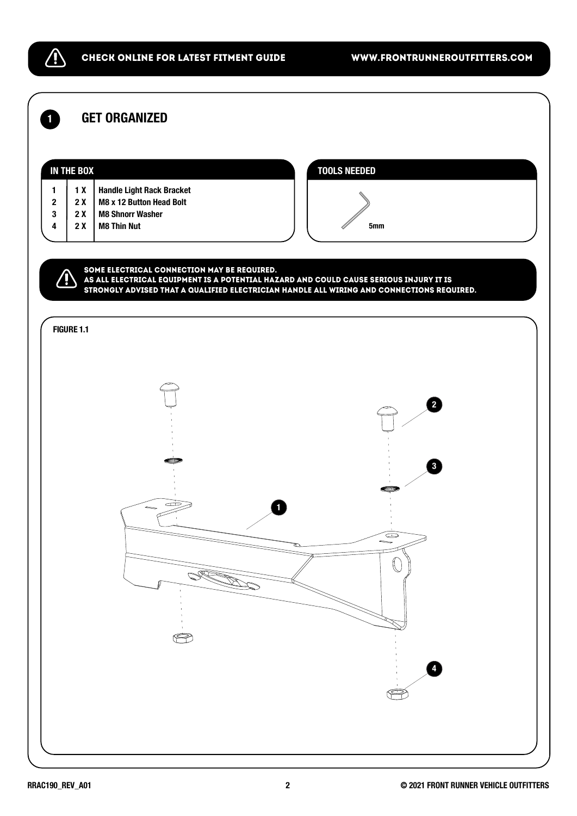/!`

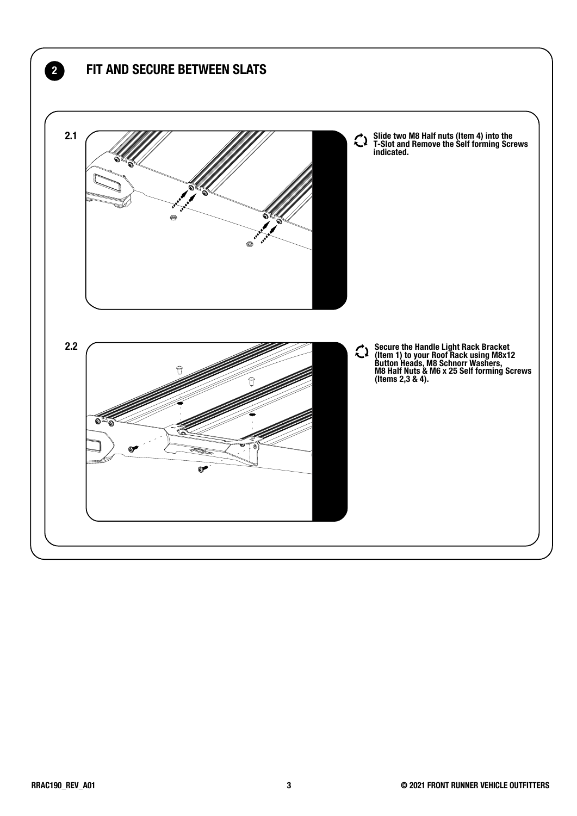